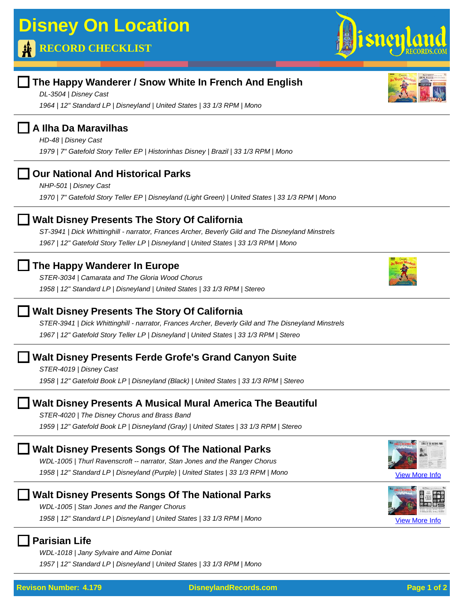# **RECORD CHECKLIST**

# **The Happy Wanderer / Snow White In French And English**

*DL-3504 | Disney Cast 1964 | 12" Standard LP | Disneyland | United States | 33 1/3 RPM | Mono*

### **A Ilha Da Maravilhas**

*HD-48 | Disney Cast*

*1979 | 7" Gatefold Story Teller EP | Historinhas Disney | Brazil | 33 1/3 RPM | Mono*

## **Our National And Historical Parks**

*NHP-501 | Disney Cast 1970 | 7" Gatefold Story Teller EP | Disneyland (Light Green) | United States | 33 1/3 RPM | Mono*

## **Walt Disney Presents The Story Of California**

*ST-3941 | Dick Whittinghill - narrator, Frances Archer, Beverly Gild and The Disneyland Minstrels 1967 | 12" Gatefold Story Teller LP | Disneyland | United States | 33 1/3 RPM | Mono*

## **The Happy Wanderer In Europe**

*STER-3034 | Camarata and The Gloria Wood Chorus 1958 | 12" Standard LP | Disneyland | United States | 33 1/3 RPM | Stereo*

## **Walt Disney Presents The Story Of California**

*STER-3941 | Dick Whittinghill - narrator, Frances Archer, Beverly Gild and The Disneyland Minstrels 1967 | 12" Gatefold Story Teller LP | Disneyland | United States | 33 1/3 RPM | Stereo*

## **Walt Disney Presents Ferde Grofe's Grand Canyon Suite**

*STER-4019 | Disney Cast 1958 | 12" Gatefold Book LP | Disneyland (Black) | United States | 33 1/3 RPM | Stereo*

## **Walt Disney Presents A Musical Mural America The Beautiful**

*STER-4020 | The Disney Chorus and Brass Band 1959 | 12" Gatefold Book LP | Disneyland (Gray) | United States | 33 1/3 RPM | Stereo*

# **Walt Disney Presents Songs Of The National Parks**

*WDL-1005 | Thurl Ravenscroft -- narrator, Stan Jones and the Ranger Chorus* [View More Info](http://disneylandrecords.com/stan-jones/wdl1005) *1958 | 12" Standard LP | Disneyland (Purple) | United States | 33 1/3 RPM | Mono*

## **Walt Disney Presents Songs Of The National Parks**

*WDL-1005 | Stan Jones and the Ranger Chorus* [View More Info](http://disneylandrecords.com/stan-jones/wdl1005-lps) *1958 | 12" Standard LP | Disneyland | United States | 33 1/3 RPM | Mono*

### **Parisian Life**

*WDL-1018 | Jany Sylvaire and Aime Doniat 1957 | 12" Standard LP | Disneyland | United States | 33 1/3 RPM | Mono*